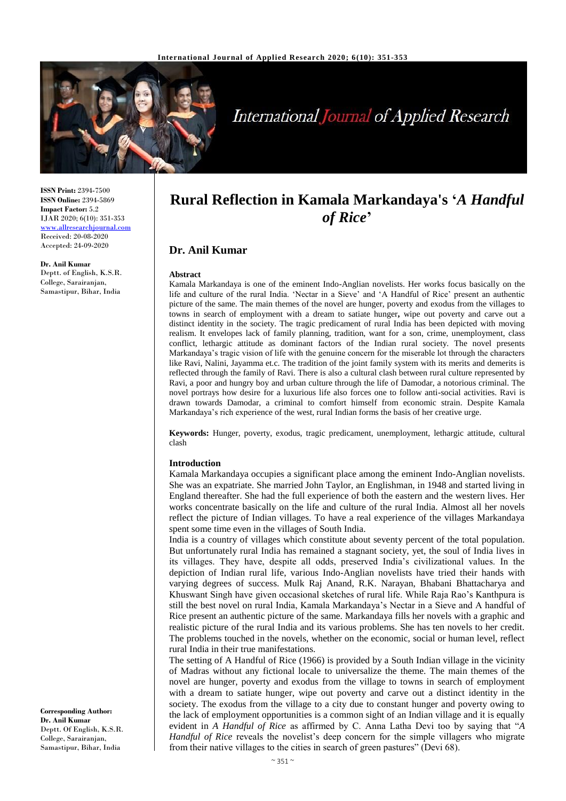

# **International Journal of Applied Research**

**ISSN Print:** 2394-7500 **ISSN Online:** 2394-5869 **Impact Factor:** 5.2 IJAR 2020; 6(10): 351-353 <www.allresearchjournal.com> Received: 20-08-2020 Accepted: 24-09-2020

**Dr. Anil Kumar** Deptt. of English, K.S.R. College, Sarairanjan, Samastipur, Bihar, India

## **Rural Reflection in Kamala Markandaya's '***A Handful of Rice***'**

### **Dr. Anil Kumar**

#### **Abstract**

Kamala Markandaya is one of the eminent Indo-Anglian novelists. Her works focus basically on the life and culture of the rural India. 'Nectar in a Sieve' and 'A Handful of Rice' present an authentic picture of the same. The main themes of the novel are hunger, poverty and exodus from the villages to towns in search of employment with a dream to satiate hunger**,** wipe out poverty and carve out a distinct identity in the society. The tragic predicament of rural India has been depicted with moving realism. It envelopes lack of family planning, tradition, want for a son, crime, unemployment, class conflict, lethargic attitude as dominant factors of the Indian rural society. The novel presents Markandaya's tragic vision of life with the genuine concern for the miserable lot through the characters like Ravi, Nalini, Jayamma et.c. The tradition of the joint family system with its merits and demerits is reflected through the family of Ravi. There is also a cultural clash between rural culture represented by Ravi, a poor and hungry boy and urban culture through the life of Damodar, a notorious criminal. The novel portrays how desire for a luxurious life also forces one to follow anti-social activities. Ravi is drawn towards Damodar, a criminal to comfort himself from economic strain. Despite Kamala Markandaya's rich experience of the west, rural Indian forms the basis of her creative urge.

**Keywords:** Hunger, poverty, exodus, tragic predicament, unemployment, lethargic attitude, cultural clash

#### **Introduction**

Kamala Markandaya occupies a significant place among the eminent Indo-Anglian novelists. She was an expatriate. She married John Taylor, an Englishman, in 1948 and started living in England thereafter. She had the full experience of both the eastern and the western lives. Her works concentrate basically on the life and culture of the rural India. Almost all her novels reflect the picture of Indian villages. To have a real experience of the villages Markandaya spent some time even in the villages of South India.

India is a country of villages which constitute about seventy percent of the total population. But unfortunately rural India has remained a stagnant society, yet, the soul of India lives in its villages. They have, despite all odds, preserved India's civilizational values. In the depiction of Indian rural life, various Indo-Anglian novelists have tried their hands with varying degrees of success. Mulk Raj Anand, R.K. Narayan, Bhabani Bhattacharya and Khuswant Singh have given occasional sketches of rural life. While Raja Rao's Kanthpura is still the best novel on rural India, Kamala Markandaya's Nectar in a Sieve and A handful of Rice present an authentic picture of the same. Markandaya fills her novels with a graphic and realistic picture of the rural India and its various problems. She has ten novels to her credit. The problems touched in the novels, whether on the economic, social or human level, reflect rural India in their true manifestations.

The setting of A Handful of Rice (1966) is provided by a South Indian village in the vicinity of Madras without any fictional locale to universalize the theme. The main themes of the novel are hunger, poverty and exodus from the village to towns in search of employment with a dream to satiate hunger, wipe out poverty and carve out a distinct identity in the society. The exodus from the village to a city due to constant hunger and poverty owing to the lack of employment opportunities is a common sight of an Indian village and it is equally evident in *A Handful of Rice* as affirmed by C. Anna Latha Devi too by saying that "*A Handful of Rice* reveals the novelist's deep concern for the simple villagers who migrate from their native villages to the cities in search of green pastures" (Devi 68).

**Corresponding Author: Dr. Anil Kumar** Deptt. Of English, K.S.R. College, Sarairanjan, Samastipur, Bihar, India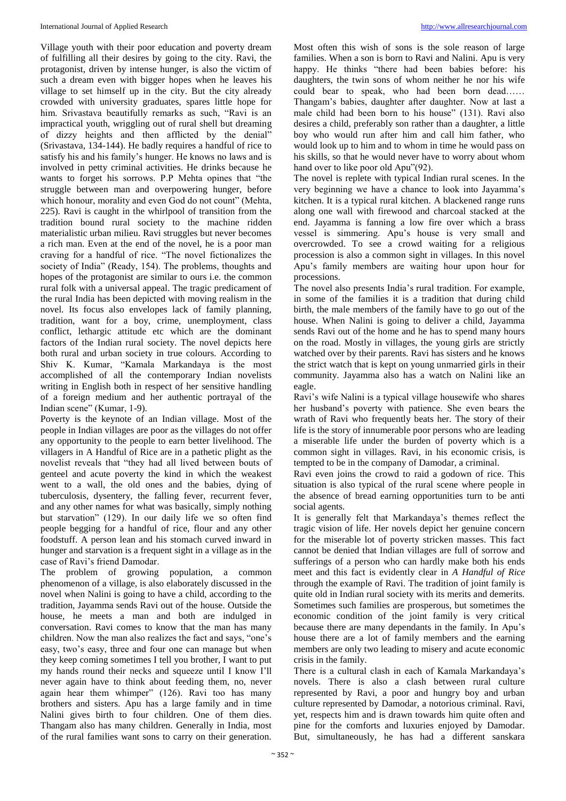Village youth with their poor education and poverty dream of fulfilling all their desires by going to the city. Ravi, the protagonist, driven by intense hunger, is also the victim of such a dream even with bigger hopes when he leaves his village to set himself up in the city. But the city already crowded with university graduates, spares little hope for him. Srivastava beautifully remarks as such, "Ravi is an impractical youth, wriggling out of rural shell but dreaming of dizzy heights and then afflicted by the denial" (Srivastava, 134-144). He badly requires a handful of rice to satisfy his and his family's hunger. He knows no laws and is involved in petty criminal activities. He drinks because he wants to forget his sorrows. P.P Mehta opines that "the struggle between man and overpowering hunger, before which honour, morality and even God do not count" (Mehta, 225). Ravi is caught in the whirlpool of transition from the tradition bound rural society to the machine ridden materialistic urban milieu. Ravi struggles but never becomes a rich man. Even at the end of the novel, he is a poor man craving for a handful of rice. "The novel fictionalizes the society of India" (Ready, 154). The problems, thoughts and hopes of the protagonist are similar to ours i.e. the common rural folk with a universal appeal. The tragic predicament of the rural India has been depicted with moving realism in the novel. Its focus also envelopes lack of family planning, tradition, want for a boy, crime, unemployment, class conflict, lethargic attitude etc which are the dominant factors of the Indian rural society. The novel depicts here both rural and urban society in true colours. According to Shiv K. Kumar, "Kamala Markandaya is the most accomplished of all the contemporary Indian novelists writing in English both in respect of her sensitive handling of a foreign medium and her authentic portrayal of the Indian scene" (Kumar, 1-9).

Poverty is the keynote of an Indian village. Most of the people in Indian villages are poor as the villages do not offer any opportunity to the people to earn better livelihood. The villagers in A Handful of Rice are in a pathetic plight as the novelist reveals that "they had all lived between bouts of genteel and acute poverty the kind in which the weakest went to a wall, the old ones and the babies, dying of tuberculosis, dysentery, the falling fever, recurrent fever, and any other names for what was basically, simply nothing but starvation" (129). In our daily life we so often find people begging for a handful of rice, flour and any other foodstuff. A person lean and his stomach curved inward in hunger and starvation is a frequent sight in a village as in the case of Ravi's friend Damodar.

The problem of growing population, a common phenomenon of a village, is also elaborately discussed in the novel when Nalini is going to have a child, according to the tradition, Jayamma sends Ravi out of the house. Outside the house, he meets a man and both are indulged in conversation. Ravi comes to know that the man has many children. Now the man also realizes the fact and says, "one's easy, two's easy, three and four one can manage but when they keep coming sometimes I tell you brother, I want to put my hands round their necks and squeeze until I know I'll never again have to think about feeding them, no, never again hear them whimper" (126). Ravi too has many brothers and sisters. Apu has a large family and in time Nalini gives birth to four children. One of them dies. Thangam also has many children. Generally in India, most of the rural families want sons to carry on their generation.

Most often this wish of sons is the sole reason of large families. When a son is born to Ravi and Nalini. Apu is very happy. He thinks "there had been babies before: his daughters, the twin sons of whom neither he nor his wife could bear to speak, who had been born dead…… Thangam's babies, daughter after daughter. Now at last a male child had been born to his house" (131). Ravi also desires a child, preferably son rather than a daughter, a little boy who would run after him and call him father, who would look up to him and to whom in time he would pass on his skills, so that he would never have to worry about whom hand over to like poor old Apu"(92).

The novel is replete with typical Indian rural scenes. In the very beginning we have a chance to look into Jayamma's kitchen. It is a typical rural kitchen. A blackened range runs along one wall with firewood and charcoal stacked at the end. Jayamma is fanning a low fire over which a brass vessel is simmering. Apu's house is very small and overcrowded. To see a crowd waiting for a religious procession is also a common sight in villages. In this novel Apu's family members are waiting hour upon hour for processions.

The novel also presents India's rural tradition. For example, in some of the families it is a tradition that during child birth, the male members of the family have to go out of the house. When Nalini is going to deliver a child, Jayamma sends Ravi out of the home and he has to spend many hours on the road. Mostly in villages, the young girls are strictly watched over by their parents. Ravi has sisters and he knows the strict watch that is kept on young unmarried girls in their community. Jayamma also has a watch on Nalini like an eagle.

Ravi's wife Nalini is a typical village housewife who shares her husband's poverty with patience. She even bears the wrath of Ravi who frequently beats her. The story of their life is the story of innumerable poor persons who are leading a miserable life under the burden of poverty which is a common sight in villages. Ravi, in his economic crisis, is tempted to be in the company of Damodar, a criminal.

Ravi even joins the crowd to raid a godown of rice. This situation is also typical of the rural scene where people in the absence of bread earning opportunities turn to be anti social agents.

It is generally felt that Markandaya's themes reflect the tragic vision of life. Her novels depict her genuine concern for the miserable lot of poverty stricken masses. This fact cannot be denied that Indian villages are full of sorrow and sufferings of a person who can hardly make both his ends meet and this fact is evidently clear in *A Handful of Rice* through the example of Ravi. The tradition of joint family is quite old in Indian rural society with its merits and demerits. Sometimes such families are prosperous, but sometimes the economic condition of the joint family is very critical because there are many dependants in the family. In Apu's house there are a lot of family members and the earning members are only two leading to misery and acute economic crisis in the family.

There is a cultural clash in each of Kamala Markandaya's novels. There is also a clash between rural culture represented by Ravi, a poor and hungry boy and urban culture represented by Damodar, a notorious criminal. Ravi, yet, respects him and is drawn towards him quite often and pine for the comforts and luxuries enjoyed by Damodar. But, simultaneously, he has had a different sanskara